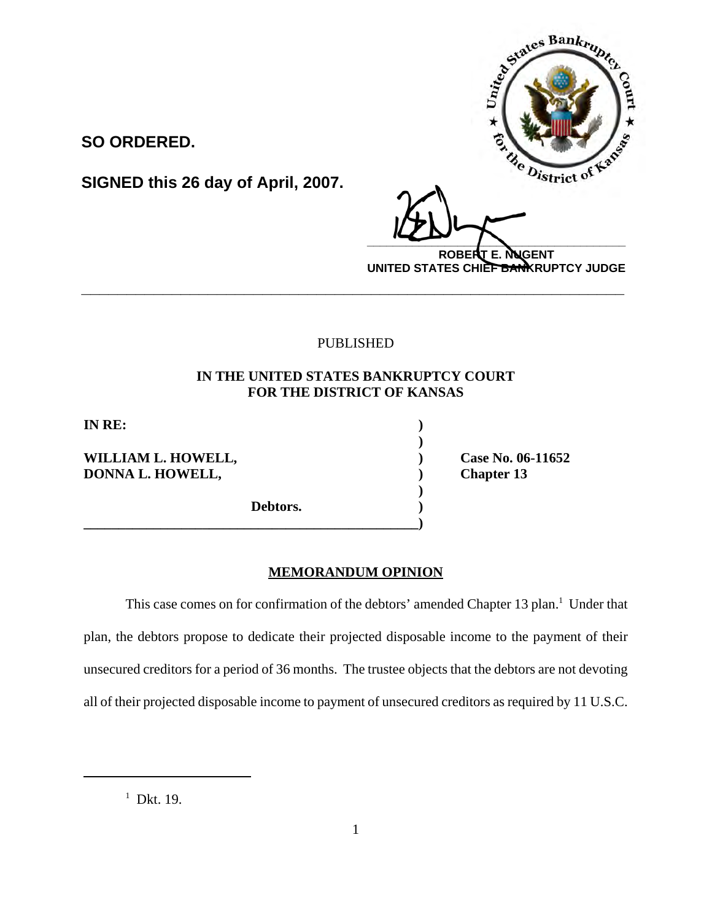

# PUBLISHED

# **IN THE UNITED STATES BANKRUPTCY COURT FOR THE DISTRICT OF KANSAS**

**)** 

**)** 

**IN RE: )** 

**WILLIAM L. HOWELL, ) Case No. 06-11652 DONNA L. HOWELL,** (and a set of the chapter 13 and 200 km s and 200 km s and 200 km s and 200 km s and 200 km s and 200 km s and 200 km s and 200 km s and 200 km s and 200 km s and 200 km s and 200 km s and 200 km s and 2

**SO ORDERED.** 

**Debtors. )** 

**\_\_\_\_\_\_\_\_\_\_\_\_\_\_\_\_\_\_\_\_\_\_\_\_\_\_\_\_\_\_\_\_\_\_\_\_\_\_\_\_\_\_\_\_\_\_\_\_)** 

# **MEMORANDUM OPINION**

This case comes on for confirmation of the debtors' amended Chapter 13 plan.<sup>1</sup> Under that plan, the debtors propose to dedicate their projected disposable income to the payment of their unsecured creditors for a period of 36 months. The trustee objects that the debtors are not devoting all of their projected disposable income to payment of unsecured creditors as required by 11 U.S.C.

 $1$  Dkt. 19.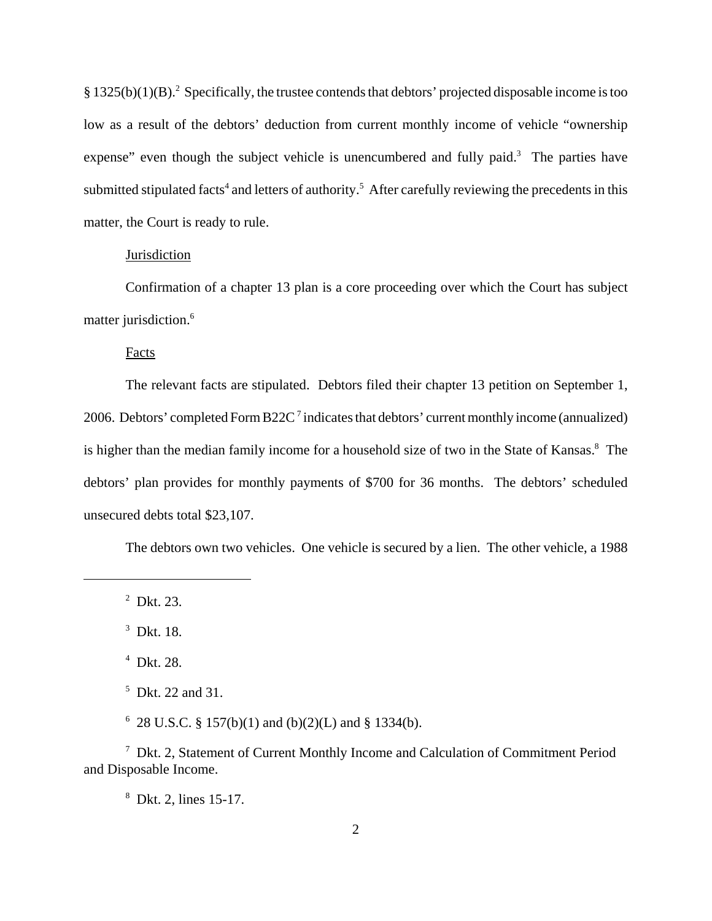$§ 1325(b)(1)(B).$ <sup>2</sup> Specifically, the trustee contends that debtors' projected disposable income is too low as a result of the debtors' deduction from current monthly income of vehicle "ownership expense" even though the subject vehicle is unencumbered and fully paid.<sup>3</sup> The parties have submitted stipulated facts<sup>4</sup> and letters of authority.<sup>5</sup> After carefully reviewing the precedents in this matter, the Court is ready to rule.

#### Jurisdiction

Confirmation of a chapter 13 plan is a core proceeding over which the Court has subject matter jurisdiction.<sup>6</sup>

Facts

The relevant facts are stipulated. Debtors filed their chapter 13 petition on September 1, 2006. Debtors' completed Form B22C<sup>7</sup> indicates that debtors' current monthly income (annualized) is higher than the median family income for a household size of two in the State of Kansas.<sup>8</sup> The debtors' plan provides for monthly payments of \$700 for 36 months. The debtors' scheduled unsecured debts total \$23,107.

The debtors own two vehicles. One vehicle is secured by a lien. The other vehicle, a 1988

 $2$  Dkt. 23.

<sup>3</sup> Dkt. 18.

4 Dkt. 28.

5 Dkt. 22 and 31.

 $6$  28 U.S.C. § 157(b)(1) and (b)(2)(L) and § 1334(b).

7 Dkt. 2, Statement of Current Monthly Income and Calculation of Commitment Period and Disposable Income.

8 Dkt. 2, lines 15-17.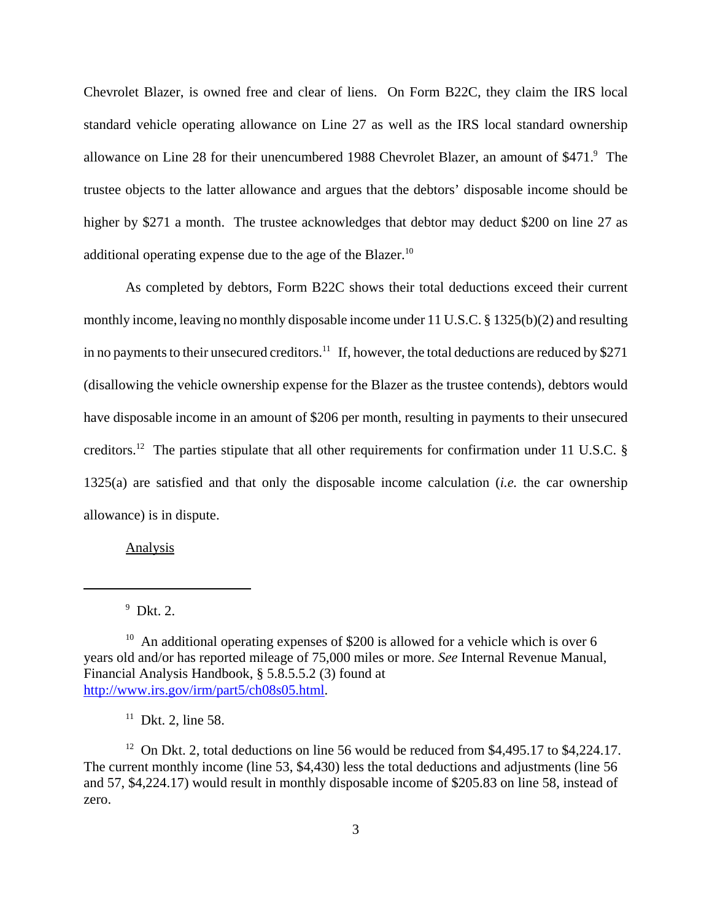Chevrolet Blazer, is owned free and clear of liens. On Form B22C, they claim the IRS local standard vehicle operating allowance on Line 27 as well as the IRS local standard ownership allowance on Line 28 for their unencumbered 1988 Chevrolet Blazer, an amount of \$471.<sup>9</sup> The trustee objects to the latter allowance and argues that the debtors' disposable income should be higher by \$271 a month. The trustee acknowledges that debtor may deduct \$200 on line 27 as additional operating expense due to the age of the Blazer.<sup>10</sup>

As completed by debtors, Form B22C shows their total deductions exceed their current monthly income, leaving no monthly disposable income under 11 U.S.C. § 1325(b)(2) and resulting in no payments to their unsecured creditors.<sup>11</sup> If, however, the total deductions are reduced by \$271 (disallowing the vehicle ownership expense for the Blazer as the trustee contends), debtors would have disposable income in an amount of \$206 per month, resulting in payments to their unsecured creditors.<sup>12</sup> The parties stipulate that all other requirements for confirmation under 11 U.S.C.  $\S$ 1325(a) are satisfied and that only the disposable income calculation (*i.e.* the car ownership allowance) is in dispute.

Analysis

 $11$  Dkt. 2, line 58.

<sup>12</sup> On Dkt. 2, total deductions on line 56 would be reduced from \$4,495.17 to \$4,224.17. The current monthly income (line 53, \$4,430) less the total deductions and adjustments (line 56 and 57, \$4,224.17) would result in monthly disposable income of \$205.83 on line 58, instead of zero.

 $9$  Dkt. 2.

<sup>&</sup>lt;sup>10</sup> An additional operating expenses of \$200 is allowed for a vehicle which is over 6 years old and/or has reported mileage of 75,000 miles or more. *See* Internal Revenue Manual, Financial Analysis Handbook, § 5.8.5.5.2 (3) found at http://www.irs.gov/irm/part5/ch08s05.html.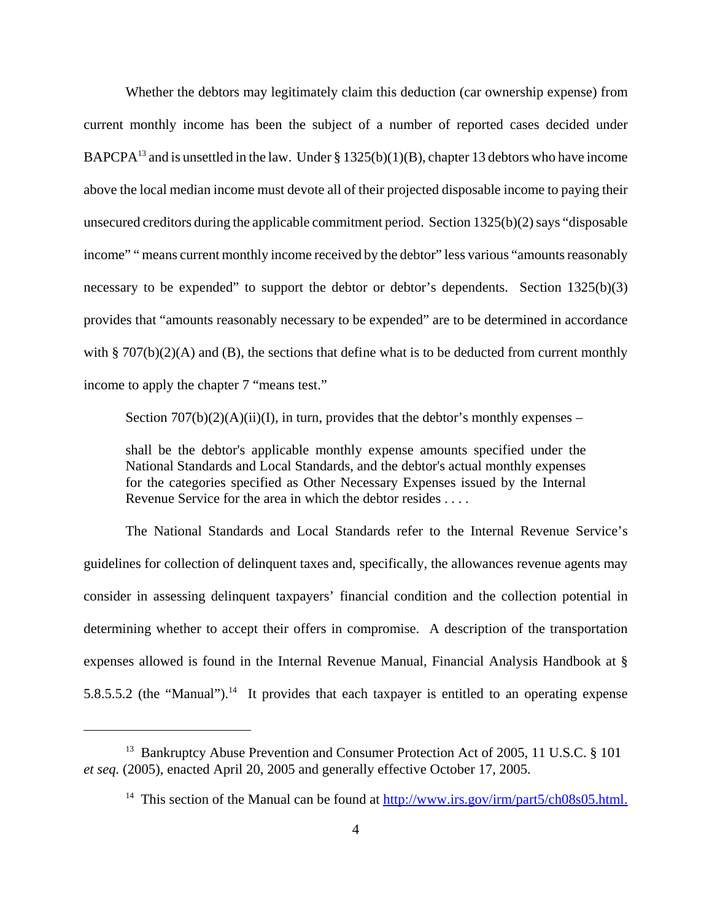Whether the debtors may legitimately claim this deduction (car ownership expense) from current monthly income has been the subject of a number of reported cases decided under BAPCPA<sup>13</sup> and is unsettled in the law. Under § 1325(b)(1)(B), chapter 13 debtors who have income above the local median income must devote all of their projected disposable income to paying their unsecured creditors during the applicable commitment period. Section 1325(b)(2) says "disposable income" " means current monthly income received by the debtor" less various "amounts reasonably necessary to be expended" to support the debtor or debtor's dependents. Section 1325(b)(3) provides that "amounts reasonably necessary to be expended" are to be determined in accordance with § 707(b)(2)(A) and (B), the sections that define what is to be deducted from current monthly income to apply the chapter 7 "means test."

Section  $707(b)(2)(A)(ii)(I)$ , in turn, provides that the debtor's monthly expenses –

shall be the debtor's applicable monthly expense amounts specified under the National Standards and Local Standards, and the debtor's actual monthly expenses for the categories specified as Other Necessary Expenses issued by the Internal Revenue Service for the area in which the debtor resides . . . .

The National Standards and Local Standards refer to the Internal Revenue Service's guidelines for collection of delinquent taxes and, specifically, the allowances revenue agents may consider in assessing delinquent taxpayers' financial condition and the collection potential in determining whether to accept their offers in compromise. A description of the transportation expenses allowed is found in the Internal Revenue Manual, Financial Analysis Handbook at § 5.8.5.5.2 (the "Manual").<sup>14</sup> It provides that each taxpayer is entitled to an operating expense

<sup>&</sup>lt;sup>13</sup> Bankruptcy Abuse Prevention and Consumer Protection Act of 2005, 11 U.S.C. § 101 *et seq.* (2005), enacted April 20, 2005 and generally effective October 17, 2005.

<sup>&</sup>lt;sup>14</sup> This section of the Manual can be found at  $\frac{http://www.irs.gov/irm/part5/ch08s05.html.}{http://www.irs.gov/irm/part5/ch08s05.html.}$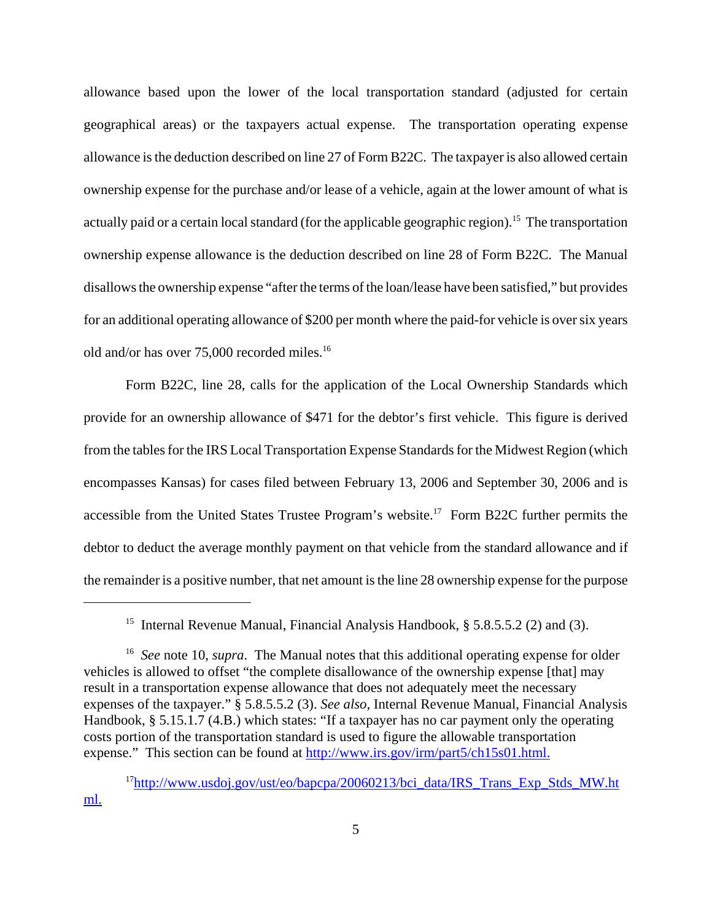allowance based upon the lower of the local transportation standard (adjusted for certain geographical areas) or the taxpayers actual expense. The transportation operating expense allowance is the deduction described on line 27 of Form B22C. The taxpayer is also allowed certain ownership expense for the purchase and/or lease of a vehicle, again at the lower amount of what is actually paid or a certain local standard (for the applicable geographic region).<sup>15</sup> The transportation ownership expense allowance is the deduction described on line 28 of Form B22C. The Manual disallows the ownership expense "after the terms of the loan/lease have been satisfied," but provides for an additional operating allowance of \$200 per month where the paid-for vehicle is over six years old and/or has over 75,000 recorded miles.<sup>16</sup>

Form B22C, line 28, calls for the application of the Local Ownership Standards which provide for an ownership allowance of \$471 for the debtor's first vehicle. This figure is derived from the tables for the IRS Local Transportation Expense Standards for the Midwest Region (which encompasses Kansas) for cases filed between February 13, 2006 and September 30, 2006 and is accessible from the United States Trustee Program's website.<sup>17</sup> Form B22C further permits the debtor to deduct the average monthly payment on that vehicle from the standard allowance and if the remainder is a positive number, that net amount is the line 28 ownership expense for the purpose

<sup>&</sup>lt;sup>15</sup> Internal Revenue Manual, Financial Analysis Handbook, § 5.8.5.5.2 (2) and (3).

<sup>&</sup>lt;sup>16</sup> See note 10, *supra*. The Manual notes that this additional operating expense for older vehicles is allowed to offset "the complete disallowance of the ownership expense [that] may result in a transportation expense allowance that does not adequately meet the necessary expenses of the taxpayer." § 5.8.5.5.2 (3). *See also,* Internal Revenue Manual, Financial Analysis Handbook, § 5.15.1.7 (4.B.) which states: "If a taxpayer has no car payment only the operating costs portion of the transportation standard is used to figure the allowable transportation expense." This section can be found at http://www.irs.gov/irm/part5/ch15s01.html.

 $17$ http://www.usdoj.gov/ust/eo/bapcpa/20060213/bci\_data/IRS\_Trans\_Exp\_Stds\_MW.ht ml.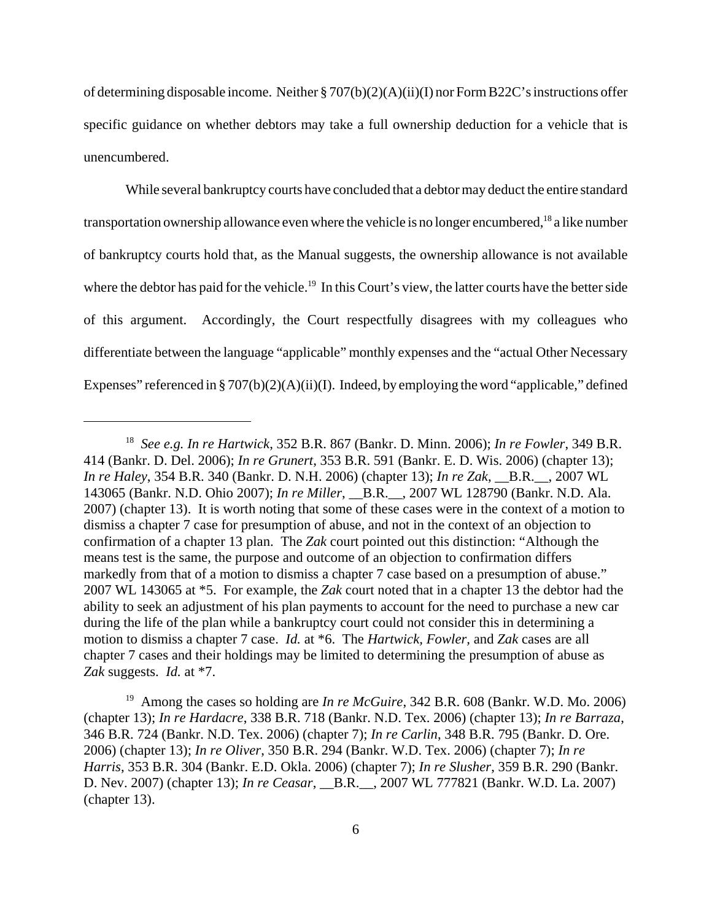of determining disposable income. Neither § 707(b)(2)(A)(ii)(I) nor Form B22C's instructions offer specific guidance on whether debtors may take a full ownership deduction for a vehicle that is unencumbered.

While several bankruptcy courts have concluded that a debtor may deduct the entire standard transportation ownership allowance even where the vehicle is no longer encumbered,<sup>18</sup> a like number of bankruptcy courts hold that, as the Manual suggests, the ownership allowance is not available where the debtor has paid for the vehicle.<sup>19</sup> In this Court's view, the latter courts have the better side of this argument. Accordingly, the Court respectfully disagrees with my colleagues who differentiate between the language "applicable" monthly expenses and the "actual Other Necessary Expenses" referenced in § 707(b)(2)(A)(ii)(I). Indeed, by employing the word "applicable," defined

<sup>18</sup> *See e.g. In re Hartwick*, 352 B.R. 867 (Bankr. D. Minn. 2006); *In re Fowler*, 349 B.R. 414 (Bankr. D. Del. 2006); *In re Grunert*, 353 B.R. 591 (Bankr. E. D. Wis. 2006) (chapter 13); *In re Haley*, 354 B.R. 340 (Bankr. D. N.H. 2006) (chapter 13); *In re Zak*, \_\_B.R.\_\_, 2007 WL 143065 (Bankr. N.D. Ohio 2007); *In re Miller*, \_\_B.R.\_\_, 2007 WL 128790 (Bankr. N.D. Ala. 2007) (chapter 13). It is worth noting that some of these cases were in the context of a motion to dismiss a chapter 7 case for presumption of abuse, and not in the context of an objection to confirmation of a chapter 13 plan. The *Zak* court pointed out this distinction: "Although the means test is the same, the purpose and outcome of an objection to confirmation differs markedly from that of a motion to dismiss a chapter 7 case based on a presumption of abuse." 2007 WL 143065 at \*5. For example, the *Zak* court noted that in a chapter 13 the debtor had the ability to seek an adjustment of his plan payments to account for the need to purchase a new car during the life of the plan while a bankruptcy court could not consider this in determining a motion to dismiss a chapter 7 case. *Id.* at \*6. The *Hartwick, Fowler,* and *Zak* cases are all chapter 7 cases and their holdings may be limited to determining the presumption of abuse as *Zak* suggests. *Id.* at \*7.

<sup>19</sup> Among the cases so holding are *In re McGuire*, 342 B.R. 608 (Bankr. W.D. Mo. 2006) (chapter 13); *In re Hardacre*, 338 B.R. 718 (Bankr. N.D. Tex. 2006) (chapter 13); *In re Barraza*, 346 B.R. 724 (Bankr. N.D. Tex. 2006) (chapter 7); *In re Carlin*, 348 B.R. 795 (Bankr. D. Ore. 2006) (chapter 13); *In re Oliver*, 350 B.R. 294 (Bankr. W.D. Tex. 2006) (chapter 7); *In re Harris*, 353 B.R. 304 (Bankr. E.D. Okla. 2006) (chapter 7); *In re Slusher*, 359 B.R. 290 (Bankr. D. Nev. 2007) (chapter 13); *In re Ceasar*, \_\_B.R.\_\_, 2007 WL 777821 (Bankr. W.D. La. 2007) (chapter 13).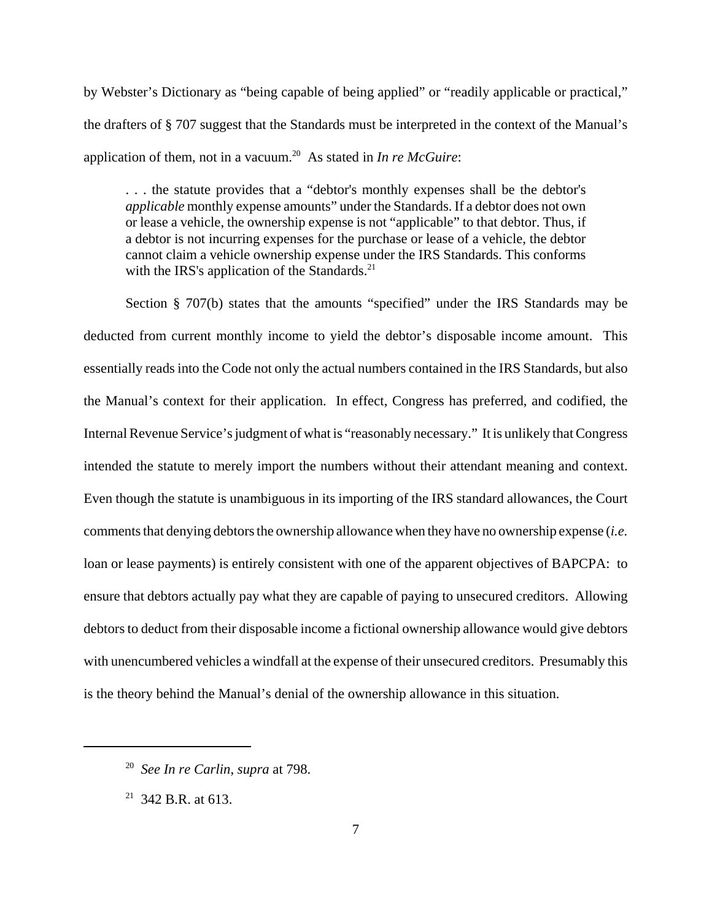by Webster's Dictionary as "being capable of being applied" or "readily applicable or practical," the drafters of § 707 suggest that the Standards must be interpreted in the context of the Manual's application of them, not in a vacuum.20 As stated in *In re McGuire*:

. . . the statute provides that a "debtor's monthly expenses shall be the debtor's *applicable* monthly expense amounts" under the Standards. If a debtor does not own or lease a vehicle, the ownership expense is not "applicable" to that debtor. Thus, if a debtor is not incurring expenses for the purchase or lease of a vehicle, the debtor cannot claim a vehicle ownership expense under the IRS Standards. This conforms with the IRS's application of the Standards. $^{21}$ 

Section § 707(b) states that the amounts "specified" under the IRS Standards may be deducted from current monthly income to yield the debtor's disposable income amount. This essentially reads into the Code not only the actual numbers contained in the IRS Standards, but also the Manual's context for their application. In effect, Congress has preferred, and codified, the Internal Revenue Service's judgment of what is "reasonably necessary." It is unlikely that Congress intended the statute to merely import the numbers without their attendant meaning and context. Even though the statute is unambiguous in its importing of the IRS standard allowances, the Court comments that denying debtors the ownership allowance when they have no ownership expense (*i.e.*  loan or lease payments) is entirely consistent with one of the apparent objectives of BAPCPA: to ensure that debtors actually pay what they are capable of paying to unsecured creditors. Allowing debtors to deduct from their disposable income a fictional ownership allowance would give debtors with unencumbered vehicles a windfall at the expense of their unsecured creditors. Presumably this is the theory behind the Manual's denial of the ownership allowance in this situation.

<sup>20</sup> *See In re Carlin*, *supra* at 798.

<sup>&</sup>lt;sup>21</sup> 342 B.R. at 613.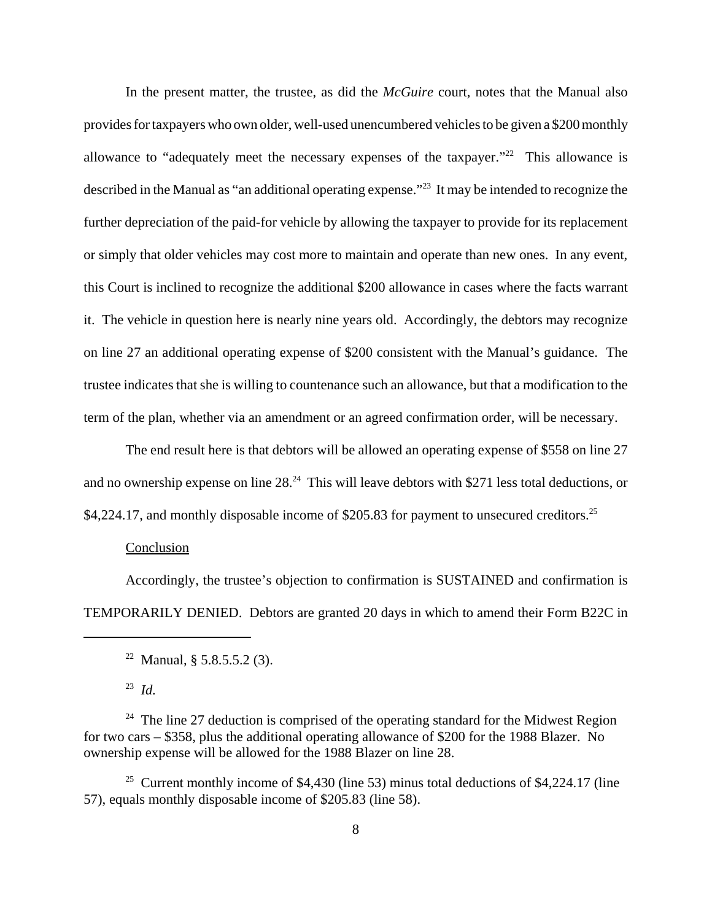In the present matter, the trustee, as did the *McGuire* court, notes that the Manual also provides for taxpayers who own older, well-used unencumbered vehicles to be given a \$200 monthly allowance to "adequately meet the necessary expenses of the taxpayer."<sup>22</sup> This allowance is described in the Manual as "an additional operating expense."<sup>23</sup> It may be intended to recognize the further depreciation of the paid-for vehicle by allowing the taxpayer to provide for its replacement or simply that older vehicles may cost more to maintain and operate than new ones. In any event, this Court is inclined to recognize the additional \$200 allowance in cases where the facts warrant it. The vehicle in question here is nearly nine years old. Accordingly, the debtors may recognize on line 27 an additional operating expense of \$200 consistent with the Manual's guidance. The trustee indicates that she is willing to countenance such an allowance, but that a modification to the term of the plan, whether via an amendment or an agreed confirmation order, will be necessary.

The end result here is that debtors will be allowed an operating expense of \$558 on line 27 and no ownership expense on line  $28<sup>24</sup>$ . This will leave debtors with \$271 less total deductions, or \$4,224.17, and monthly disposable income of \$205.83 for payment to unsecured creditors.<sup>25</sup>

#### Conclusion

Accordingly, the trustee's objection to confirmation is SUSTAINED and confirmation is TEMPORARILY DENIED. Debtors are granted 20 days in which to amend their Form B22C in

<sup>25</sup> Current monthly income of \$4,430 (line 53) minus total deductions of \$4,224.17 (line 57), equals monthly disposable income of \$205.83 (line 58).

<sup>&</sup>lt;sup>22</sup> Manual, § 5.8.5.5.2 (3).

<sup>23</sup>*Id.* 

 $24$  The line 27 deduction is comprised of the operating standard for the Midwest Region for two cars – \$358, plus the additional operating allowance of \$200 for the 1988 Blazer. No ownership expense will be allowed for the 1988 Blazer on line 28.